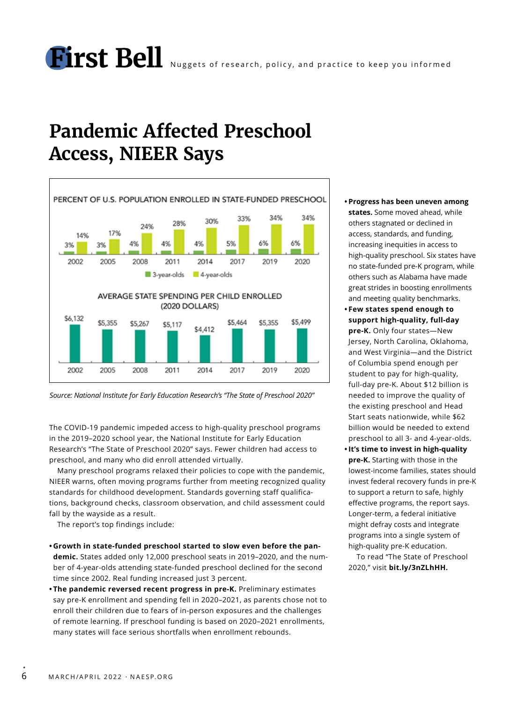# **Pandemic Affected Preschool Access, NIEER Says**



*Source: National Institute for Early Education Research's "The State of Preschool 2020"*

The COVID-19 pandemic impeded access to high-quality preschool programs in the 2019–2020 school year, the National Institute for Early Education Research's "The State of Preschool 2020" says. Fewer children had access to preschool, and many who did enroll attended virtually.

Many preschool programs relaxed their policies to cope with the pandemic, NIEER warns, often moving programs further from meeting recognized quality standards for childhood development. Standards governing staff qualifications, background checks, classroom observation, and child assessment could fall by the wayside as a result.

The report's top findings include:

- **• Growth in state-funded preschool started to slow even before the pandemic.** States added only 12,000 preschool seats in 2019–2020, and the number of 4-year-olds attending state-funded preschool declined for the second time since 2002. Real funding increased just 3 percent.
- **• The pandemic reversed recent progress in pre-K.** Preliminary estimates say pre-K enrollment and spending fell in 2020–2021, as parents chose not to enroll their children due to fears of in-person exposures and the challenges of remote learning. If preschool funding is based on 2020–2021 enrollments, many states will face serious shortfalls when enrollment rebounds.
- **• Progress has been uneven among states.** Some moved ahead, while others stagnated or declined in access, standards, and funding, increasing inequities in access to high-quality preschool. Six states have no state-funded pre-K program, while others such as Alabama have made great strides in boosting enrollments and meeting quality benchmarks.
- **• Few states spend enough to support high-quality, full-day pre-K.** Only four states—New Jersey, North Carolina, Oklahoma, and West Virginia—and the District of Columbia spend enough per student to pay for high-quality, full-day pre-K. About \$12 billion is needed to improve the quality of the existing preschool and Head Start seats nationwide, while \$62 billion would be needed to extend preschool to all 3- and 4-year-olds.
- **•It's time to invest in high-quality pre-K.** Starting with those in the lowest-income families, states should invest federal recovery funds in pre-K to support a return to safe, highly effective programs, the report says. Longer-term, a federal initiative might defray costs and integrate programs into a single system of high-quality pre-K education.

To read "The State of Preschool 2020," visit **bit.ly/3nZLhHH.**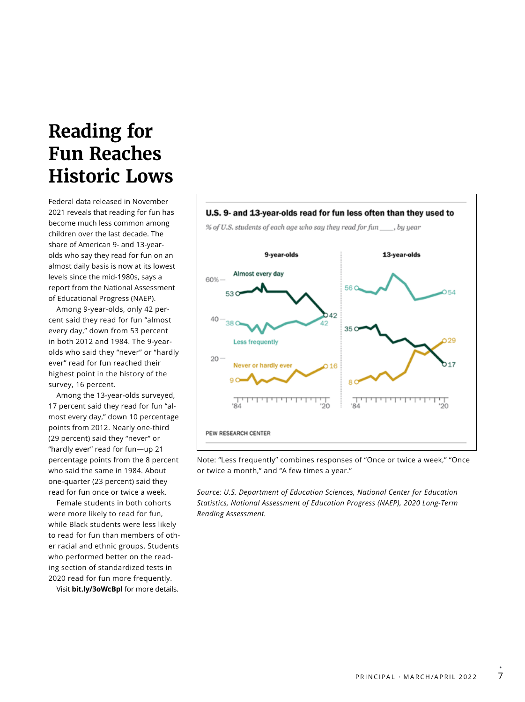### **Reading for Fun Reaches Historic Lows**

Federal data released in November 2021 reveals that reading for fun has become much less common among children over the last decade. The share of American 9- and 13-yearolds who say they read for fun on an almost daily basis is now at its lowest levels since the mid-1980s, says a report from the National Assessment of Educational Progress (NAEP).

Among 9-year-olds, only 42 percent said they read for fun "almost every day," down from 53 percent in both 2012 and 1984. The 9-yearolds who said they "never" or "hardly ever" read for fun reached their highest point in the history of the survey, 16 percent.

Among the 13-year-olds surveyed, 17 percent said they read for fun "almost every day," down 10 percentage points from 2012. Nearly one-third (29 percent) said they "never" or "hardly ever" read for fun—up 21 percentage points from the 8 percent who said the same in 1984. About one-quarter (23 percent) said they read for fun once or twice a week.

Female students in both cohorts were more likely to read for fun, while Black students were less likely to read for fun than members of other racial and ethnic groups. Students who performed better on the reading section of standardized tests in 2020 read for fun more frequently.

Visit **bit.ly/3oWcBpl** for more details.



Note: "Less frequently" combines responses of "Once or twice a week," "Once or twice a month," and "A few times a year."

*Source: U.S. Department of Education Sciences, National Center for Education Statistics, National Assessment of Education Progress (NAEP), 2020 Long-Term Reading Assessment.*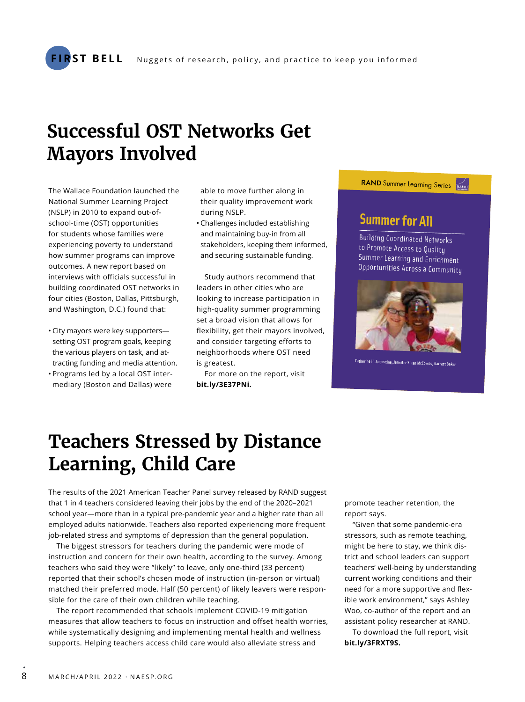### **Successful OST Networks Get Mayors Involved**

The Wallace Foundation launched the National Summer Learning Project (NSLP) in 2010 to expand out-ofschool-time (OST) opportunities for students whose families were experiencing poverty to understand how summer programs can improve outcomes. A new report based on interviews with officials successful in building coordinated OST networks in four cities (Boston, Dallas, Pittsburgh, and Washington, D.C.) found that:

- City mayors were key supporters setting OST program goals, keeping the various players on task, and attracting funding and media attention. • Programs led by a local OST inter-
- mediary (Boston and Dallas) were

able to move further along in their quality improvement work during NSLP.

Challenges included establishing and maintaining buy-in from all stakeholders, keeping them informed, and securing sustainable funding. development and well-being of children and youth. One of the key recommendations in

Study authors recommend that leaders in other cities who are looking to increase participation in to sumig to the ease participation in<br>high-quality summer programming  $\frac{1}{2}$  and  $\frac{1}{2}$  and  $\frac{1}{2}$  and  $\frac{1}{2}$  and  $\frac{1}{2}$  and  $\frac{1}{2}$  and  $\frac{1}{2}$  and  $\frac{1}{2}$  and  $\frac{1}{2}$  and  $\frac{1}{2}$  and  $\frac{1}{2}$  and  $\frac{1}{2}$  and  $\frac{1}{2}$  and  $\frac{1}{2}$  and  $\frac{1}{2}$  and  $\frac{1}{2}$  a the contract medicines, and the community of the contract community of the control of the control of the contr<br>flexibility, get their mayors involved, and consider targeting efforts to neighborhoods where OST need is greatest. EDUCATION AND LABOR

For more on the report, visit **bit.ly/3E37PNi.** 

#### RAND Summer Learning Series RAND

### **Summer for All**

Summer for All: Building Coordinated Networks to Promote Access to Quality Summer Learning and Enrichment Opportunities Across a Community

Building Coordinated Networks to Promote Access to Quality Summer Learning and Enrichment Opportunities Across a Community



Catherine H. Augustine, Jennifer Sloan McCombs, Garrett Baker

## **Teachers Stressed by Distance Learning, Child Care**

The results of the 2021 American Teacher Panel survey released by RAND suggest that 1 in 4 teachers considered leaving their jobs by the end of the 2020–2021 school year—more than in a typical pre-pandemic year and a higher rate than all employed adults nationwide. Teachers also reported experiencing more frequent job-related stress and symptoms of depression than the general population.

The biggest stressors for teachers during the pandemic were mode of instruction and concern for their own health, according to the survey. Among teachers who said they were "likely" to leave, only one-third (33 percent) reported that their school's chosen mode of instruction (in-person or virtual) matched their preferred mode. Half (50 percent) of likely leavers were responsible for the care of their own children while teaching.

The report recommended that schools implement COVID-19 mitigation measures that allow teachers to focus on instruction and offset health worries, while systematically designing and implementing mental health and wellness supports. Helping teachers access child care would also alleviate stress and

promote teacher retention, the report says.

"Given that some pandemic-era stressors, such as remote teaching, might be here to stay, we think district and school leaders can support teachers' well-being by understanding current working conditions and their need for a more supportive and flexible work environment," says Ashley Woo, co-author of the report and an assistant policy researcher at RAND.

To download the full report, visit **bit.ly/3FRXT9S.**